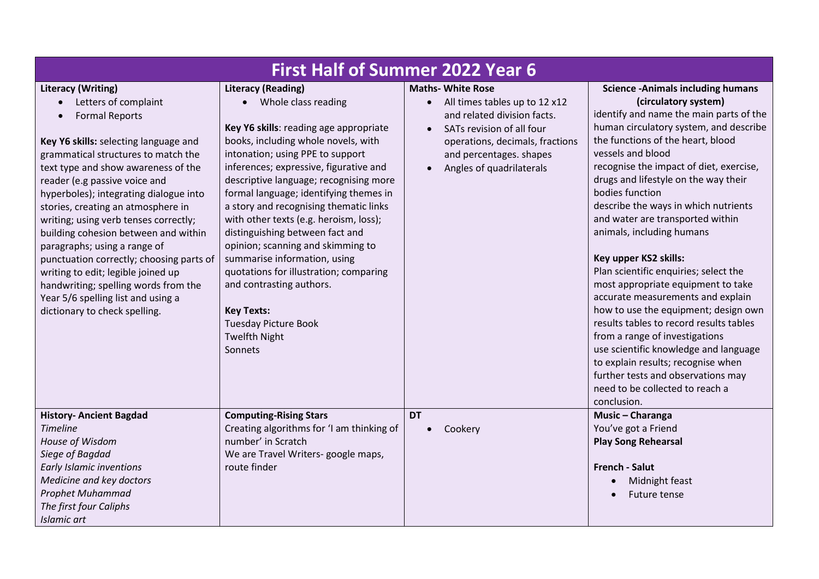| <b>First Half of Summer 2022 Year 6</b>                                                                                                                                                                                                                                                                                                                                                                                                                                                                                                                                                                                              |                                                                                                                                                                                                                                                                                                                                                                                                                                                                                                                                                                                                                                                                |                                                                                                                                                                                                                                           |                                                                                                                                                                                                                                                                                                                                                                                                                                                                                                                                                                                                                                                                                                                                                                                                                                                                         |  |
|--------------------------------------------------------------------------------------------------------------------------------------------------------------------------------------------------------------------------------------------------------------------------------------------------------------------------------------------------------------------------------------------------------------------------------------------------------------------------------------------------------------------------------------------------------------------------------------------------------------------------------------|----------------------------------------------------------------------------------------------------------------------------------------------------------------------------------------------------------------------------------------------------------------------------------------------------------------------------------------------------------------------------------------------------------------------------------------------------------------------------------------------------------------------------------------------------------------------------------------------------------------------------------------------------------------|-------------------------------------------------------------------------------------------------------------------------------------------------------------------------------------------------------------------------------------------|-------------------------------------------------------------------------------------------------------------------------------------------------------------------------------------------------------------------------------------------------------------------------------------------------------------------------------------------------------------------------------------------------------------------------------------------------------------------------------------------------------------------------------------------------------------------------------------------------------------------------------------------------------------------------------------------------------------------------------------------------------------------------------------------------------------------------------------------------------------------------|--|
| <b>Literacy (Writing)</b><br>Letters of complaint<br><b>Formal Reports</b><br>Key Y6 skills: selecting language and<br>grammatical structures to match the<br>text type and show awareness of the<br>reader (e.g passive voice and<br>hyperboles); integrating dialogue into<br>stories, creating an atmosphere in<br>writing; using verb tenses correctly;<br>building cohesion between and within<br>paragraphs; using a range of<br>punctuation correctly; choosing parts of<br>writing to edit; legible joined up<br>handwriting; spelling words from the<br>Year 5/6 spelling list and using a<br>dictionary to check spelling. | <b>Literacy (Reading)</b><br>• Whole class reading<br>Key Y6 skills: reading age appropriate<br>books, including whole novels, with<br>intonation; using PPE to support<br>inferences; expressive, figurative and<br>descriptive language; recognising more<br>formal language; identifying themes in<br>a story and recognising thematic links<br>with other texts (e.g. heroism, loss);<br>distinguishing between fact and<br>opinion; scanning and skimming to<br>summarise information, using<br>quotations for illustration; comparing<br>and contrasting authors.<br><b>Key Texts:</b><br><b>Tuesday Picture Book</b><br><b>Twelfth Night</b><br>Sonnets | <b>Maths- White Rose</b><br>All times tables up to 12 x12<br>$\bullet$<br>and related division facts.<br>SATs revision of all four<br>$\bullet$<br>operations, decimals, fractions<br>and percentages. shapes<br>Angles of quadrilaterals | <b>Science -Animals including humans</b><br>(circulatory system)<br>identify and name the main parts of the<br>human circulatory system, and describe<br>the functions of the heart, blood<br>vessels and blood<br>recognise the impact of diet, exercise,<br>drugs and lifestyle on the way their<br>bodies function<br>describe the ways in which nutrients<br>and water are transported within<br>animals, including humans<br>Key upper KS2 skills:<br>Plan scientific enquiries; select the<br>most appropriate equipment to take<br>accurate measurements and explain<br>how to use the equipment; design own<br>results tables to record results tables<br>from a range of investigations<br>use scientific knowledge and language<br>to explain results; recognise when<br>further tests and observations may<br>need to be collected to reach a<br>conclusion. |  |
| <b>History- Ancient Bagdad</b><br><b>Timeline</b><br>House of Wisdom<br>Siege of Bagdad<br><b>Early Islamic inventions</b><br>Medicine and key doctors<br>Prophet Muhammad<br>The first four Caliphs<br><b>Islamic art</b>                                                                                                                                                                                                                                                                                                                                                                                                           | <b>Computing-Rising Stars</b><br>Creating algorithms for 'I am thinking of<br>number' in Scratch<br>We are Travel Writers- google maps,<br>route finder                                                                                                                                                                                                                                                                                                                                                                                                                                                                                                        | <b>DT</b><br>Cookery                                                                                                                                                                                                                      | Music - Charanga<br>You've got a Friend<br><b>Play Song Rehearsal</b><br><b>French - Salut</b><br>Midnight feast<br><b>Future tense</b>                                                                                                                                                                                                                                                                                                                                                                                                                                                                                                                                                                                                                                                                                                                                 |  |